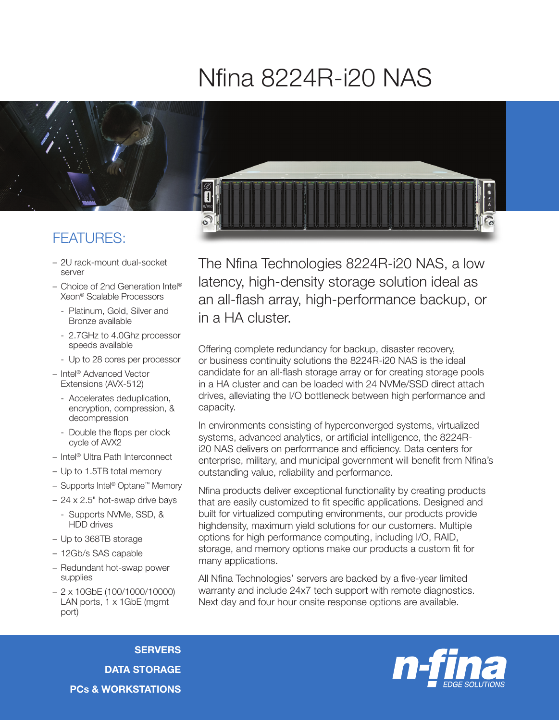## Nfina 8224R-i20 NAS



## FEATURES:

- 2U rack-mount dual-socket server
- Choice of 2nd Generation Intel® Xeon® Scalable Processors
	- Platinum, Gold, Silver and Bronze available
	- 2.7GHz to 4.0Ghz processor speeds available
	- Up to 28 cores per processor
- Intel® Advanced Vector Extensions (AVX-512)
	- Accelerates deduplication, encryption, compression, & decompression
	- Double the flops per clock cycle of AVX2
- Intel® Ultra Path Interconnect
- Up to 1.5TB total memory
- Supports Intel® Optane™ Memory
- 24 x 2.5" hot-swap drive bays
	- Supports NVMe, SSD, & HDD drives
- Up to 368TB storage
- 12Gb/s SAS capable
- Redundant hot-swap power supplies
- 2 x 10GbE (100/1000/10000) LAN ports, 1 x 1GbE (mgmt) port)

The Nfina Technologies 8224R-i20 NAS, a low latency, high-density storage solution ideal as an all-flash array, high-performance backup, or in a HA cluster.

Offering complete redundancy for backup, disaster recovery, or business continuity solutions the 8224R-i20 NAS is the ideal candidate for an all-flash storage array or for creating storage pools in a HA cluster and can be loaded with 24 NVMe/SSD direct attach drives, alleviating the I/O bottleneck between high performance and capacity.

In environments consisting of hyperconverged systems, virtualized systems, advanced analytics, or artificial intelligence, the 8224Ri20 NAS delivers on performance and efficiency. Data centers for enterprise, military, and municipal government will benefit from Nfina's outstanding value, reliability and performance.

Nfina products deliver exceptional functionality by creating products that are easily customized to fit specific applications. Designed and built for virtualized computing environments, our products provide highdensity, maximum yield solutions for our customers. Multiple options for high performance computing, including I/O, RAID, storage, and memory options make our products a custom fit for many applications.

All Nfina Technologies' servers are backed by a five-year limited warranty and include 24x7 tech support with remote diagnostics. Next day and four hour onsite response options are available.

**SERVERS** DATA STORAGE PCs & WORKSTATIONS

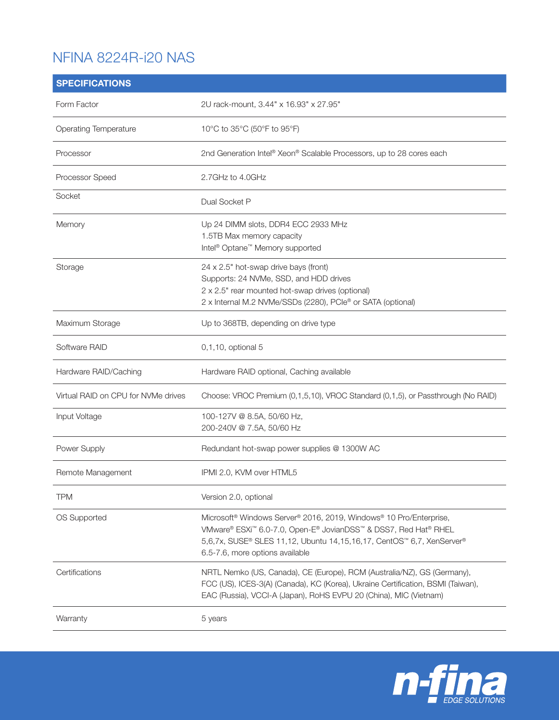## NFINA 8224R-i20 NAS

| <b>SPECIFICATIONS</b>               |                                                                                                                                                                                                                                                               |
|-------------------------------------|---------------------------------------------------------------------------------------------------------------------------------------------------------------------------------------------------------------------------------------------------------------|
| Form Factor                         | 2U rack-mount, 3.44" x 16.93" x 27.95"                                                                                                                                                                                                                        |
| <b>Operating Temperature</b>        | 10°C to 35°C (50°F to 95°F)                                                                                                                                                                                                                                   |
| Processor                           | 2nd Generation Intel® Xeon® Scalable Processors, up to 28 cores each                                                                                                                                                                                          |
| Processor Speed                     | 2.7GHz to 4.0GHz                                                                                                                                                                                                                                              |
| Socket                              | Dual Socket P                                                                                                                                                                                                                                                 |
| Memory                              | Up 24 DIMM slots, DDR4 ECC 2933 MHz<br>1.5TB Max memory capacity<br>Intel <sup>®</sup> Optane <sup>™</sup> Memory supported                                                                                                                                   |
| Storage                             | 24 x 2.5" hot-swap drive bays (front)<br>Supports: 24 NVMe, SSD, and HDD drives<br>2 x 2.5" rear mounted hot-swap drives (optional)<br>2 x Internal M.2 NVMe/SSDs (2280), PCIe® or SATA (optional)                                                            |
| Maximum Storage                     | Up to 368TB, depending on drive type                                                                                                                                                                                                                          |
| Software RAID                       | 0,1,10, optional 5                                                                                                                                                                                                                                            |
| Hardware RAID/Caching               | Hardware RAID optional, Caching available                                                                                                                                                                                                                     |
| Virtual RAID on CPU for NVMe drives | Choose: VROC Premium (0,1,5,10), VROC Standard (0,1,5), or Passthrough (No RAID)                                                                                                                                                                              |
| Input Voltage                       | 100-127V @ 8.5A, 50/60 Hz,<br>200-240V @ 7.5A, 50/60 Hz                                                                                                                                                                                                       |
| Power Supply                        | Redundant hot-swap power supplies @ 1300W AC                                                                                                                                                                                                                  |
| Remote Management                   | IPMI 2.0, KVM over HTML5                                                                                                                                                                                                                                      |
| <b>TPM</b>                          | Version 2.0, optional                                                                                                                                                                                                                                         |
| OS Supported                        | Microsoft <sup>®</sup> Windows Server® 2016, 2019, Windows® 10 Pro/Enterprise,<br>VMware® ESXi™ 6.0-7.0, Open-E® JovianDSS™ & DSS7, Red Hat® RHEL<br>5,6,7x, SUSE® SLES 11,12, Ubuntu 14,15,16,17, CentOS™ 6,7, XenServer®<br>6.5-7.6, more options available |
| Certifications                      | NRTL Nemko (US, Canada), CE (Europe), RCM (Australia/NZ), GS (Germany),<br>FCC (US), ICES-3(A) (Canada), KC (Korea), Ukraine Certification, BSMI (Taiwan),<br>EAC (Russia), VCCI-A (Japan), RoHS EVPU 20 (China), MIC (Vietnam)                               |
| Warranty                            | 5 years                                                                                                                                                                                                                                                       |